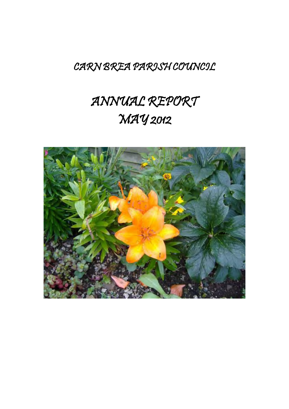## CARN BREA PARISH COUNCIL

# ANNUAL REPORT MAY 2012

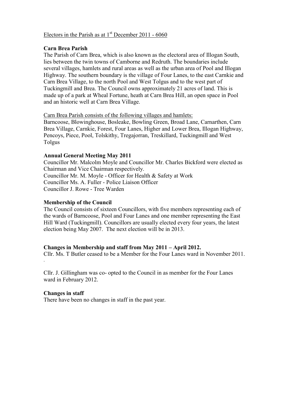#### Electors in the Parish as at  $1<sup>st</sup>$  December 2011 - 6060

#### **Carn Brea Parish**

The Parish of Carn Brea, which is also known as the electoral area of Illogan South, lies between the twin towns of Camborne and Redruth. The boundaries include several villages, hamlets and rural areas as well as the urban area of Pool and Illogan Highway. The southern boundary is the village of Four Lanes, to the east Carnkie and Carn Brea Village, to the north Pool and West Tolgus and to the west part of Tuckingmill and Brea. The Council owns approximately 21 acres of land. This is made up of a park at Wheal Fortune, heath at Carn Brea Hill, an open space in Pool and an historic well at Carn Brea Village.

#### Carn Brea Parish consists of the following villages and hamlets:

Barncoose, Blowinghouse, Bosleake, Bowling Green, Broad Lane, Carnarthen, Carn Brea Village, Carnkie, Forest, Four Lanes, Higher and Lower Brea, Illogan Highway, Pencoys, Piece, Pool, Tolskithy, Tregajorran, Treskillard, Tuckingmill and West Tolgus

#### **Annual General Meeting May 2011**

Councillor Mr. Malcolm Moyle and Councillor Mr. Charles Bickford were elected as Chairman and Vice Chairman respectively. Councillor Mr. M. Moyle - Officer for Health & Safety at Work Councillor Ms. A. Fuller - Police Liaison Officer Councillor J. Rowe - Tree Warden

#### **Membership of the Council**

The Council consists of sixteen Councillors, with five members representing each of the wards of Barncoose, Pool and Four Lanes and one member representing the East Hill Ward (Tuckingmill). Councillors are usually elected every four years, the latest election being May 2007. The next election will be in 2013.

#### **Changes in Membership and staff from May 2011 – April 2012.**

Cllr. Ms. T Butler ceased to be a Member for the Four Lanes ward in November 2011. .

Cllr. J. Gillingham was co- opted to the Council in as member for the Four Lanes ward in February 2012.

#### **Changes in staff**

There have been no changes in staff in the past year.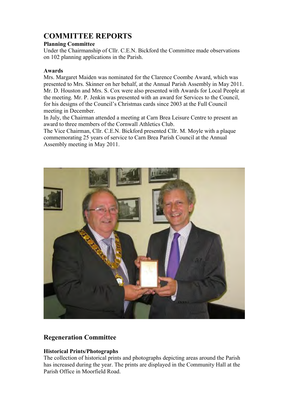## **COMMITTEE REPORTS**

#### **Planning Committee**

Under the Chairmanship of Cllr. C.E.N. Bickford the Committee made observations on 102 planning applications in the Parish.

#### **Awards**

Mrs. Margaret Maiden was nominated for the Clarence Coombe Award, which was presented to Mrs. Skinner on her behalf, at the Annual Parish Assembly in May 2011. Mr. D. Houston and Mrs. S. Cox were also presented with Awards for Local People at the meeting. Mr. P. Jenkin was presented with an award for Services to the Council, for his designs of the Council's Christmas cards since 2003 at the Full Council meeting in December.

In July, the Chairman attended a meeting at Carn Brea Leisure Centre to present an award to three members of the Cornwall Athletics Club.

The Vice Chairman, Cllr. C.E.N. Bickford presented Cllr. M. Moyle with a plaque commemorating 25 years of service to Carn Brea Parish Council at the Annual Assembly meeting in May 2011.



#### **Regeneration Committee**

#### **Historical Prints/Photographs**

The collection of historical prints and photographs depicting areas around the Parish has increased during the year. The prints are displayed in the Community Hall at the Parish Office in Moorfield Road.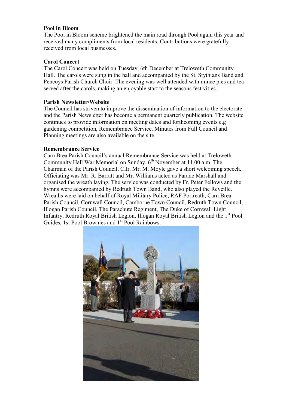#### **Pool in Bloom**

The Pool in Bloom scheme brightened the main road through Pool again this year and received many compliments from local residents. Contributions were gratefully received from local businesses.

#### **Carol Concert**

The Carol Concert was held on Tuesday, 6th December at Treloweth Community Hall. The carols were sung in the hall and accompanied by the St. Stythians Band and Pencoys Parish Church Choir. The evening was well attended with mince pies and tea served after the carols, making an enjoyable start to the seasons festivities.

#### **Parish Newsletter/Website**

The Council has striven to improve the dissemination of information to the electorate and the Parish Newsletter has become a permanent quarterly publication. The website continues to provide information on meeting dates and forthcoming events e.g gardening competition, Remembrance Service. Minutes from Full Council and Planning meetings are also available on the site.

#### **Remembrance Service**

Carn Brea Parish Council's annual Remembrance Service was held at Treloweth Community Hall War Memorial on Sunday,  $6<sup>th</sup>$  November at 11.00 a.m. The Chairman of the Parish Council, Cllr. Mr. M. Moyle gave a short welcoming speech. Officiating was Mr. R. Barratt and Mr. Williams acted as Parade Marshall and organised the wreath laying. The service was conducted by Fr. Peter Fellows and the hymns were accompanied by Redruth Town Band, who also played the Reveille. Wreaths were laid on behalf of Royal Military Police, RAF Portreath, Carn Brea Parish Council, Cornwall Council, Camborne Town Council, Redruth Town Council, Illogan Parish Council, The Parachute Regiment, The Duke of Cornwall Light Infantry, Redruth Royal British Legion, Illogan Royal British Legion and the 1st Pool Guides, 1st Pool Brownies and 1<sup>st</sup> Pool Rainbows.

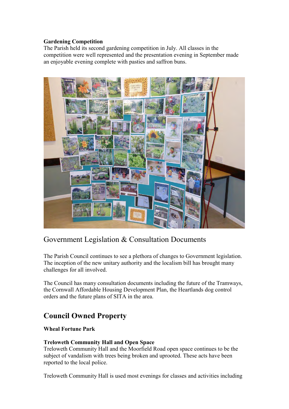#### **Gardening Competition**

The Parish held its second gardening competition in July. All classes in the competition were well represented and the presentation evening in September made an enjoyable evening complete with pasties and saffron buns.



## Government Legislation & Consultation Documents

The Parish Council continues to see a plethora of changes to Government legislation. The inception of the new unitary authority and the localism bill has brought many challenges for all involved.

The Council has many consultation documents including the future of the Tramways, the Cornwall Affordable Housing Development Plan, the Heartlands dog control orders and the future plans of SITA in the area.

## **Council Owned Property**

#### **Wheal Fortune Park**

#### **Treloweth Community Hall and Open Space**

Treloweth Community Hall and the Moorfield Road open space continues to be the subject of vandalism with trees being broken and uprooted. These acts have been reported to the local police.

Treloweth Community Hall is used most evenings for classes and activities including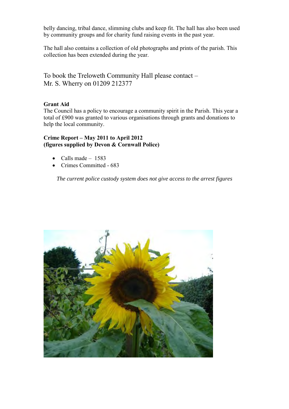belly dancing, tribal dance, slimming clubs and keep fit. The hall has also been used by community groups and for charity fund raising events in the past year.

The hall also contains a collection of old photographs and prints of the parish. This collection has been extended during the year.

To book the Treloweth Community Hall please contact – Mr. S. Wherry on 01209 212377

#### **Grant Aid**

The Council has a policy to encourage a community spirit in the Parish. This year a total of £900 was granted to various organisations through grants and donations to help the local community.

#### **Crime Report – May 2011 to April 2012 (figures supplied by Devon & Cornwall Police)**

- $\bullet$  Calls made 1583
- Crimes Committed 683

*The current police custody system does not give access to the arrest figures*